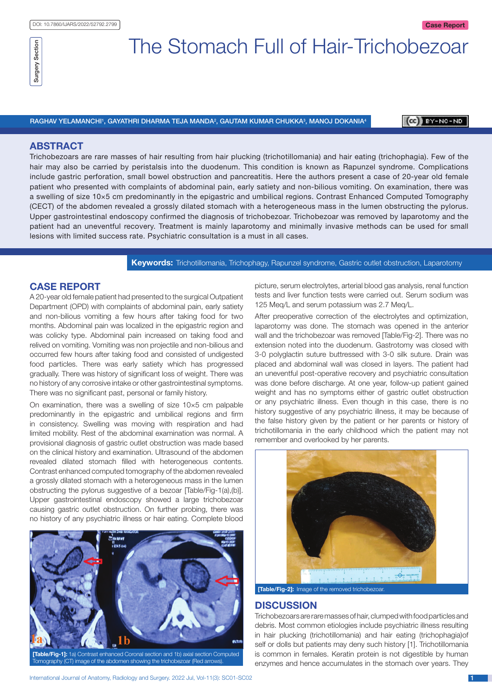# The Stomach Full of Hair-Trichobezoar

#### RAGHAV YELAMANCHI', GAYATHRI DHARMA TEJA MANDA<del>'</del>, GAUTAM KUMAR CHUKKA<sup>3</sup>, MANOJ DOKANIA<del>'</del>

CO BY-NC-ND

### **ABSTRACT**

Trichobezoars are rare masses of hair resulting from hair plucking (trichotillomania) and hair eating (trichophagia). Few of the hair may also be carried by peristalsis into the duodenum. This condition is known as Rapunzel syndrome. Complications include gastric perforation, small bowel obstruction and pancreatitis. Here the authors present a case of 20-year old female patient who presented with complaints of abdominal pain, early satiety and non-bilious vomiting. On examination, there was a swelling of size 10×5 cm predominantly in the epigastric and umbilical regions. Contrast Enhanced Computed Tomography (CECT) of the abdomen revealed a grossly dilated stomach with a heterogeneous mass in the lumen obstructing the pylorus. Upper gastrointestinal endoscopy confirmed the diagnosis of trichobezoar. Trichobezoar was removed by laparotomy and the patient had an uneventful recovery. Treatment is mainly laparotomy and minimally invasive methods can be used for small lesions with limited success rate. Psychiatric consultation is a must in all cases.

#### **Keywords:** Trichotillomania, Trichophagy, Rapunzel syndrome, Gastric outlet obstruction, Laparotomy

# **CASE REPORT**

A 20-year old female patient had presented to the surgical Outpatient Department (OPD) with complaints of abdominal pain, early satiety and non-bilious vomiting a few hours after taking food for two months. Abdominal pain was localized in the epigastric region and was colicky type. Abdominal pain increased on taking food and relived on vomiting. Vomiting was non projectile and non-bilious and occurred few hours after taking food and consisted of undigested food particles. There was early satiety which has progressed gradually. There was history of significant loss of weight. There was no history of any corrosive intake or other gastrointestinal symptoms. There was no significant past, personal or family history.

On examination, there was a swelling of size 10×5 cm palpable predominantly in the epigastric and umbilical regions and firm in consistency. Swelling was moving with respiration and had limited mobility. Rest of the abdominal examination was normal. A provisional diagnosis of gastric outlet obstruction was made based on the clinical history and examination. Ultrasound of the abdomen revealed dilated stomach filled with heterogeneous contents. Contrast enhanced computed tomography of the abdomen revealed a grossly dilated stomach with a heterogeneous mass in the lumen obstructing the pylorus suggestive of a bezoar [Table/Fig-1(a),(b)]. Upper gastrointestinal endoscopy showed a large trichobezoar causing gastric outlet obstruction. On further probing, there was no history of any psychiatric illness or hair eating. Complete blood



**[Table/Fig-1]:** 1a) Contrast enhanced Coronal section and 1b) axial section Computed Tomography (CT) image of the abdomen showing the trichobezoar (Red arrows).

International Journal of Anatomy, Radiology and Surgery. 2022 Jul, Vol-11(3): SC01-SC02

picture, serum electrolytes, arterial blood gas analysis, renal function tests and liver function tests were carried out. Serum sodium was 125 Meq/L and serum potassium was 2.7 Meq/L.

After preoperative correction of the electrolytes and optimization, laparotomy was done. The stomach was opened in the anterior wall and the trichobezoar was removed [Table/Fig-2]. There was no extension noted into the duodenum. Gastrotomy was closed with 3-0 polyglactin suture buttressed with 3-0 silk suture. Drain was placed and abdominal wall was closed in layers. The patient had an uneventful post-operative recovery and psychiatric consultation was done before discharge. At one year, follow-up patient gained weight and has no symptoms either of gastric outlet obstruction or any psychiatric illness. Even though in this case, there is no history suggestive of any psychiatric illness, it may be because of the false history given by the patient or her parents or history of trichotillomania in the early childhood which the patient may not remember and overlooked by her parents.



**[Table/Fig-2]:** Image of the removed trichobezoa

## **Discussion**

Trichobezoars are rare masses of hair, clumped with food particles and debris. Most common etiologies include psychiatric illness resulting in hair plucking (trichotillomania) and hair eating (trichophagia)of self or dolls but patients may deny such history [1]. Trichotillomania is common in females. Keratin protein is not digestible by human enzymes and hence accumulates in the stomach over years. They